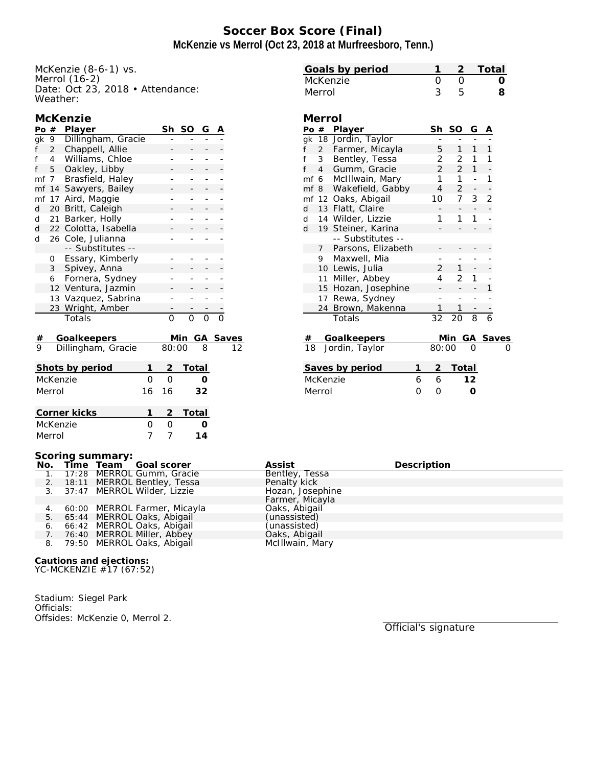# **Soccer Box Score (Final) McKenzie vs Merrol (Oct 23, 2018 at Murfreesboro, Tenn.)**

McKenzie (8-6-1) vs. Merrol (16-2) Date: Oct 23, 2018 • Attendance: Weather:

|  |  |  | McKenzie |
|--|--|--|----------|
|  |  |  |          |

| Po $#$ |                | Player               |                | Sh             | SO           | G  | A |                         |
|--------|----------------|----------------------|----------------|----------------|--------------|----|---|-------------------------|
| gk     | 9              | Dillingham, Gracie   |                |                |              |    |   |                         |
| f      | $\overline{2}$ | Chappell, Allie      |                |                |              |    |   |                         |
| f      | 4              | Williams, Chloe      |                |                |              |    |   |                         |
| f      | 5              | Oakley, Libby        |                |                |              |    |   |                         |
| mf     | 7 <sup>7</sup> | Brasfield, Haley     |                |                |              |    |   |                         |
| mf     | 14             | Sawyers, Bailey      |                |                |              |    |   |                         |
| mf     | 17             | Aird, Maggie         |                |                |              |    |   |                         |
| d      | 20             | Britt, Caleigh       |                |                |              |    |   |                         |
| d      | 21             | Barker, Holly        |                | -              |              |    |   |                         |
| d      |                | 22 Colotta, Isabella |                |                |              |    |   |                         |
| d      |                | 26 Cole, Julianna    |                |                |              |    |   |                         |
|        |                | -- Substitutes --    |                |                |              |    |   |                         |
|        | 0              | Essary, Kimberly     |                |                |              |    |   |                         |
|        | $\mathbf{3}$   | Spivey, Anna         |                |                |              |    |   |                         |
|        | 6              | Fornera, Sydney      |                |                |              |    |   |                         |
|        |                | 12 Ventura, Jazmin   |                |                |              |    |   |                         |
|        |                | 13 Vazquez, Sabrina  |                |                |              |    |   |                         |
|        | 23             | Wright, Amber        |                |                |              |    |   |                         |
|        |                | Totals               |                | 0              | O            | O  |   |                         |
| #      |                | Goalkeepers          |                |                | Min          | GА |   |                         |
| 9      |                | Dillingham, Gracie   |                | 80:00          |              | 8  |   | $rac{\text{Saves}}{12}$ |
|        |                | Shots by period      | 1              | $\overline{2}$ | Total        |    |   |                         |
|        |                | McKenzie             | 0              | $\overline{O}$ |              | Ο  |   |                         |
|        | Merrol         |                      | 16             | 16             |              | 32 |   |                         |
|        |                |                      |                |                |              |    |   |                         |
|        |                | Corner kicks         | 1              | $\overline{2}$ | <b>Total</b> |    |   |                         |
|        | McKenzie       |                      | 0              | 0              |              | Ω  |   |                         |
|        | Merrol         |                      | $\overline{7}$ | 7              |              | 14 |   |                         |

| Merrol        |                |                      |   |                |                     |                |                |              |
|---------------|----------------|----------------------|---|----------------|---------------------|----------------|----------------|--------------|
|               |                | Po $#$ Player        |   | Sh             | SO                  | G              | Α              |              |
|               |                | gk 18 Jordin, Taylor |   |                |                     |                |                |              |
| f             | $\overline{2}$ | Farmer, Micayla      |   | 5              | $1 \quad$           | $\mathbf{1}$   | 1              |              |
| f             | 3 <sup>7</sup> | Bentley, Tessa       |   | 2              | $\overline{2}$      | 1              | 1              |              |
| f             |                | 4 Gumm, Gracie       |   | $\overline{2}$ | $2^{\circ}$         | 1              |                |              |
|               |                | mf 6 McIllwain, Mary |   | $1 \quad$      | $\mathbf{1}$        | $\overline{a}$ | 1              |              |
|               | mf 8           | Wakefield, Gabby     |   |                | $\overline{2}$<br>4 | ÷              |                |              |
|               |                | mf 12 Oaks, Abigail  |   | 10             | 7 <sup>7</sup>      | 3              | $\overline{2}$ |              |
| d             |                | 13 Flatt, Claire     |   |                |                     |                |                |              |
|               |                | d 14 Wilder, Lizzie  |   | 1              | 1                   | 1              |                |              |
| $\mathsf{d}$  |                | 19 Steiner, Karina   |   |                |                     |                |                |              |
|               |                | -- Substitutes --    |   |                |                     |                |                |              |
|               | $7^{\circ}$    | Parsons, Elizabeth   |   |                |                     |                |                |              |
|               | 9              | Maxwell, Mia         |   |                |                     |                |                |              |
|               |                | 10 Lewis, Julia      |   | $\overline{2}$ | $\mathbf{1}$        |                |                |              |
|               |                | 11 Miller, Abbey     |   | 4              | $\overline{2}$      | 1              |                |              |
|               |                | 15 Hozan, Josephine  |   |                |                     |                | 1              |              |
|               | 17             | Rewa, Sydney         |   |                |                     | -              |                |              |
|               | 24             | Brown, Makenna       |   | 1              | 1                   |                |                |              |
|               |                | Totals               |   | 32             | 20                  | $\overline{8}$ | $\overline{6}$ |              |
| #             |                | Goalkeepers          |   |                | Min                 | GA             |                | <b>Saves</b> |
| 18            |                | Jordin, Taylor       |   | 80:00          |                     |                |                |              |
|               |                |                      |   |                |                     |                |                |              |
|               |                | Saves by period      | 1 | $\mathbf{2}$   | Total               |                |                |              |
| McKenzie<br>6 |                |                      |   | 6              |                     | 12             |                |              |
| Merrol        |                |                      | Ω | Ω              |                     | ∩              |                |              |
|               |                |                      |   |                |                     |                |                |              |

**Goals by period 1 2 Total** McKenzie 0 0 **0** Merrol 3 5 **8**

#### **Scoring summary:**

|  | No. Time Team Goal scorer       | Assist           | Description |
|--|---------------------------------|------------------|-------------|
|  | 1. 17:28 MERROL Gumm, Gracie    | Bentley, Tessa   |             |
|  | 2. 18:11 MERROL Bentley, Tessa  | Penalty kick     |             |
|  | 3. 37:47 MERROL Wilder, Lizzie  | Hozan, Josephine |             |
|  |                                 | Farmer, Micayla  |             |
|  | 4. 60:00 MERROL Farmer, Micayla | Oaks, Abigail    |             |
|  | 5. 65:44 MERROL Oaks, Abigail   | (unassisted)     |             |
|  | 6. 66:42 MERROL Oaks, Abigail   | (unassisted)     |             |
|  | 7. 76:40 MERROL Miller, Abbey   | Oaks, Abigail    |             |
|  | 8. 79:50 MERROL Oaks, Abigail   | McIllwain, Mary  |             |

**Cautions and ejections:** YC-MCKENZIE #17 (67:52)

Stadium: Siegel Park Officials: Offsides: McKenzie 0, Merrol 2.

Official's signature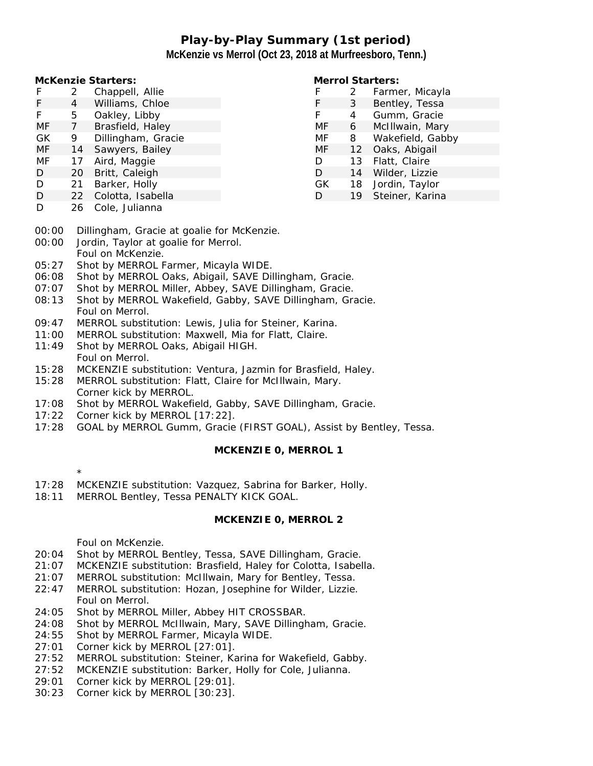# **Play-by-Play Summary (1st period) McKenzie vs Merrol (Oct 23, 2018 at Murfreesboro, Tenn.)**

**McKenzie Starters:**

- F 2 Chappell, Allie
- F 4 Williams, Chloe
- F 5 Oakley, Libby<br>MF 7 Brasfield. Hale
- MF 7 Brasfield, Haley
- GK 9 Dillingham, Gracie
- MF 14 Sawyers, Bailey
- MF 17 Aird, Maggie
- D 20 Britt, Caleigh
- D 21 Barker, Holly
- D 22 Colotta, Isabella
- D 26 Cole, Julianna

## **Merrol Starters:**

| F  | 2                 | Farmer, Micayla  |
|----|-------------------|------------------|
| F  | 3                 | Bentley, Tessa   |
| F  | 4                 | Gumm, Gracie     |
| МF | 6                 | McIllwain, Mary  |
| MF | 8                 | Wakefield, Gabby |
| MF | $12 \overline{ }$ | Oaks, Abigail    |
| D  | 13                | Flatt, Claire    |
| D  | 14                | Wilder, Lizzie   |
| GK | 18                | Jordin, Taylor   |
| D  | 19                | Steiner, Karina  |

- 00:00 Dillingham, Gracie at goalie for McKenzie.
- 00:00 Jordin, Taylor at goalie for Merrol. Foul on McKenzie.
- 05:27 Shot by MERROL Farmer, Micayla WIDE.
- 06:08 Shot by MERROL Oaks, Abigail, SAVE Dillingham, Gracie.
- 07:07 Shot by MERROL Miller, Abbey, SAVE Dillingham, Gracie.
- 08:13 Shot by MERROL Wakefield, Gabby, SAVE Dillingham, Gracie. Foul on Merrol.
- 09:47 MERROL substitution: Lewis, Julia for Steiner, Karina.
- 11:00 MERROL substitution: Maxwell, Mia for Flatt, Claire.
- 11:49 Shot by MERROL Oaks, Abigail HIGH. Foul on Merrol.
- 15:28 MCKENZIE substitution: Ventura, Jazmin for Brasfield, Haley.
- 15:28 MERROL substitution: Flatt, Claire for McIllwain, Mary. Corner kick by MERROL.
- 17:08 Shot by MERROL Wakefield, Gabby, SAVE Dillingham, Gracie.
- 17:22 Corner kick by MERROL [17:22].
- 17:28 GOAL by MERROL Gumm, Gracie (FIRST GOAL), Assist by Bentley, Tessa.

**MCKENZIE 0, MERROL 1**

- \*
- 17:28 MCKENZIE substitution: Vazquez, Sabrina for Barker, Holly.
- 18:11 MERROL Bentley, Tessa PENALTY KICK GOAL.

### **MCKENZIE 0, MERROL 2**

Foul on McKenzie.

- 20:04 Shot by MERROL Bentley, Tessa, SAVE Dillingham, Gracie.
- 21:07 MCKENZIE substitution: Brasfield, Haley for Colotta, Isabella.
- 21:07 MERROL substitution: McIllwain, Mary for Bentley, Tessa.
- 22:47 MERROL substitution: Hozan, Josephine for Wilder, Lizzie. Foul on Merrol.
- 24:05 Shot by MERROL Miller, Abbey HIT CROSSBAR.
- 24:08 Shot by MERROL McIllwain, Mary, SAVE Dillingham, Gracie.
- 24:55 Shot by MERROL Farmer, Micayla WIDE.
- 27:01 Corner kick by MERROL [27:01].
- 27:52 MERROL substitution: Steiner, Karina for Wakefield, Gabby.
- 27:52 MCKENZIE substitution: Barker, Holly for Cole, Julianna.
- 29:01 Corner kick by MERROL [29:01].
- 30:23 Corner kick by MERROL [30:23].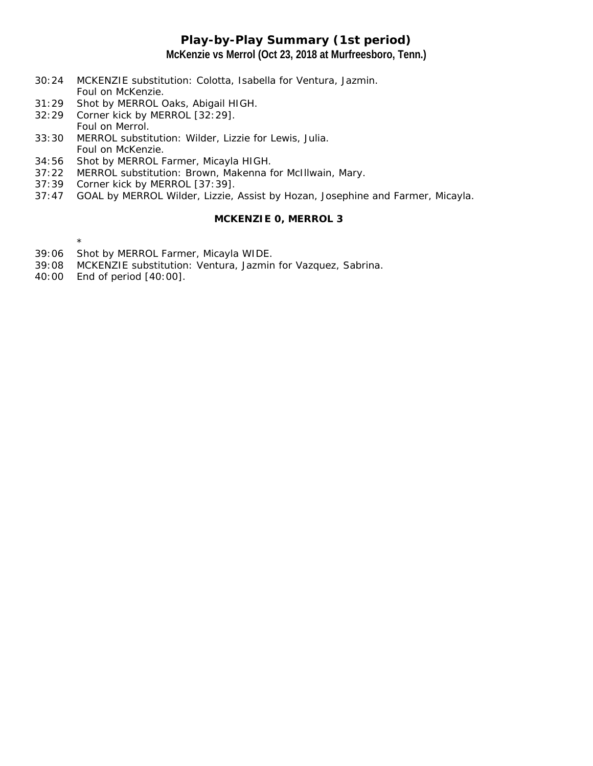## **Play-by-Play Summary (1st period) McKenzie vs Merrol (Oct 23, 2018 at Murfreesboro, Tenn.)**

- 30:24 MCKENZIE substitution: Colotta, Isabella for Ventura, Jazmin. Foul on McKenzie.
- 31:29 Shot by MERROL Oaks, Abigail HIGH.
- 32:29 Corner kick by MERROL [32:29]. Foul on Merrol.
- 33:30 MERROL substitution: Wilder, Lizzie for Lewis, Julia. Foul on McKenzie.
- 34:56 Shot by MERROL Farmer, Micayla HIGH.
- 37:22 MERROL substitution: Brown, Makenna for McIllwain, Mary.
- 37:39 Corner kick by MERROL [37:39].
- 37:47 GOAL by MERROL Wilder, Lizzie, Assist by Hozan, Josephine and Farmer, Micayla.

#### **MCKENZIE 0, MERROL 3**

\*

- 39:06 Shot by MERROL Farmer, Micayla WIDE.
- 39:08 MCKENZIE substitution: Ventura, Jazmin for Vazquez, Sabrina.
- 40:00 End of period [40:00].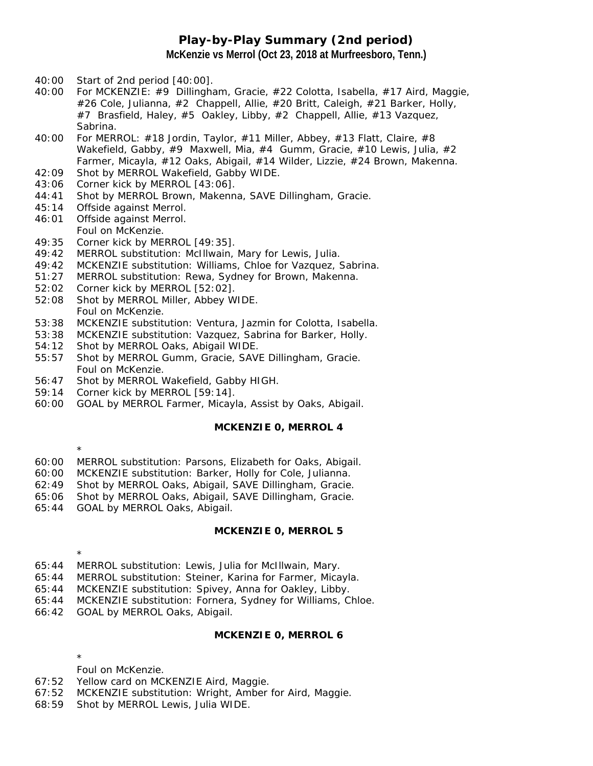## **Play-by-Play Summary (2nd period) McKenzie vs Merrol (Oct 23, 2018 at Murfreesboro, Tenn.)**

- 40:00 Start of 2nd period [40:00].
- 40:00 For MCKENZIE: #9 Dillingham, Gracie, #22 Colotta, Isabella, #17 Aird, Maggie, #26 Cole, Julianna, #2 Chappell, Allie, #20 Britt, Caleigh, #21 Barker, Holly, #7 Brasfield, Haley, #5 Oakley, Libby, #2 Chappell, Allie, #13 Vazquez, Sabrina.
- 40:00 For MERROL: #18 Jordin, Taylor, #11 Miller, Abbey, #13 Flatt, Claire, #8 Wakefield, Gabby, #9 Maxwell, Mia, #4 Gumm, Gracie, #10 Lewis, Julia, #2 Farmer, Micayla, #12 Oaks, Abigail, #14 Wilder, Lizzie, #24 Brown, Makenna.
- 42:09 Shot by MERROL Wakefield, Gabby WIDE.
- 43:06 Corner kick by MERROL [43:06].
- 44:41 Shot by MERROL Brown, Makenna, SAVE Dillingham, Gracie.
- 45:14 Offside against Merrol.
- 46:01 Offside against Merrol. Foul on McKenzie.
- 49:35 Corner kick by MERROL [49:35].
- 49:42 MERROL substitution: McIllwain, Mary for Lewis, Julia.
- 49:42 MCKENZIE substitution: Williams, Chloe for Vazquez, Sabrina.
- 51:27 MERROL substitution: Rewa, Sydney for Brown, Makenna.
- 52:02 Corner kick by MERROL [52:02].
- 52:08 Shot by MERROL Miller, Abbey WIDE. Foul on McKenzie.
- 53:38 MCKENZIE substitution: Ventura, Jazmin for Colotta, Isabella.
- 53:38 MCKENZIE substitution: Vazquez, Sabrina for Barker, Holly.
- 54:12 Shot by MERROL Oaks, Abigail WIDE.
- 55:57 Shot by MERROL Gumm, Gracie, SAVE Dillingham, Gracie. Foul on McKenzie.
- 56:47 Shot by MERROL Wakefield, Gabby HIGH.
- 59:14 Corner kick by MERROL [59:14].
- 60:00 GOAL by MERROL Farmer, Micayla, Assist by Oaks, Abigail.

#### **MCKENZIE 0, MERROL 4**

\*

- 60:00 MERROL substitution: Parsons, Elizabeth for Oaks, Abigail.
- 60:00 MCKENZIE substitution: Barker, Holly for Cole, Julianna.
- 62:49 Shot by MERROL Oaks, Abigail, SAVE Dillingham, Gracie.
- 65:06 Shot by MERROL Oaks, Abigail, SAVE Dillingham, Gracie.
- 65:44 GOAL by MERROL Oaks, Abigail.

### **MCKENZIE 0, MERROL 5**

65:44 MERROL substitution: Lewis, Julia for McIllwain, Mary.

- 65:44 MERROL substitution: Steiner, Karina for Farmer, Micayla.
- 65:44 MCKENZIE substitution: Spivey, Anna for Oakley, Libby.
- 65:44 MCKENZIE substitution: Fornera, Sydney for Williams, Chloe.
- 66:42 GOAL by MERROL Oaks, Abigail.

### **MCKENZIE 0, MERROL 6**

\*

\*

- Foul on McKenzie.
- 67:52 Yellow card on MCKENZIE Aird, Maggie.
- 67:52 MCKENZIE substitution: Wright, Amber for Aird, Maggie.
- 68:59 Shot by MERROL Lewis, Julia WIDE.